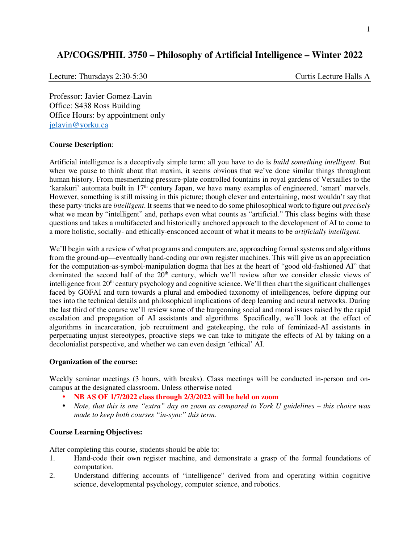# **AP/COGS/PHIL 3750 – Philosophy of Artificial Intelligence – Winter 2022**

Lecture: Thursdays 2:30-5:30 Curtis Lecture Halls A

Professor: Javier Gomez-Lavin Office: S438 Ross Building Office Hours: by appointment only jglavin@yorku.ca

# **Course Description**:

Artificial intelligence is a deceptively simple term: all you have to do is *build something intelligent*. But when we pause to think about that maxim, it seems obvious that we've done similar things throughout human history. From mesmerizing pressure-plate controlled fountains in royal gardens of Versailles to the 'karakuri' automata built in 17<sup>th</sup> century Japan, we have many examples of engineered, 'smart' marvels. However, something is still missing in this picture; though clever and entertaining, most wouldn't say that these party-tricks are *intelligent*. It seems that we need to do some philosophical work to figure out *precisely* what we mean by "intelligent" and, perhaps even what counts as "artificial." This class begins with these questions and takes a multifaceted and historically anchored approach to the development of AI to come to a more holistic, socially- and ethically-ensconced account of what it means to be *artificially intelligent*.

We'll begin with a review of what programs and computers are, approaching formal systems and algorithms from the ground-up—eventually hand-coding our own register machines. This will give us an appreciation for the computation-as-symbol-manipulation dogma that lies at the heart of "good old-fashioned AI" that dominated the second half of the 20<sup>th</sup> century, which we'll review after we consider classic views of intelligence from 20<sup>th</sup> century psychology and cognitive science. We'll then chart the significant challenges faced by GOFAI and turn towards a plural and embodied taxonomy of intelligences, before dipping our toes into the technical details and philosophical implications of deep learning and neural networks. During the last third of the course we'll review some of the burgeoning social and moral issues raised by the rapid escalation and propagation of AI assistants and algorithms. Specifically, we'll look at the effect of algorithms in incarceration, job recruitment and gatekeeping, the role of feminized-AI assistants in perpetuating unjust stereotypes, proactive steps we can take to mitigate the effects of AI by taking on a decolonialist perspective, and whether we can even design 'ethical' AI.

#### **Organization of the course:**

Weekly seminar meetings (3 hours, with breaks). Class meetings will be conducted in-person and oncampus at the designated classroom. Unless otherwise noted

- **NB AS OF 1/7/2022 class through 2/3/2022 will be held on zoom**
- *Note, that this is one "extra" day on zoom as compared to York U guidelines this choice was made to keep both courses "in-sync" this term.*

# **Course Learning Objectives:**

After completing this course, students should be able to:

- 1. Hand-code their own register machine, and demonstrate a grasp of the formal foundations of computation.
- 2. Understand differing accounts of "intelligence" derived from and operating within cognitive science, developmental psychology, computer science, and robotics.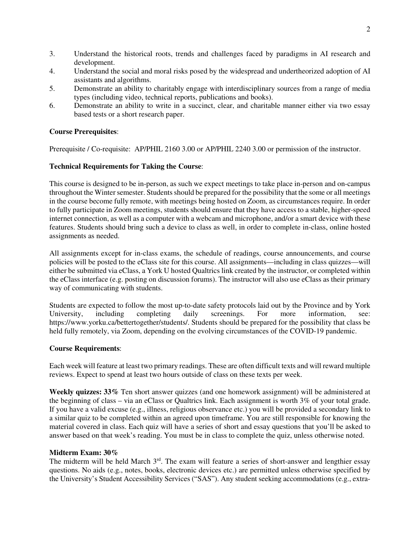- 3. Understand the historical roots, trends and challenges faced by paradigms in AI research and development.
- 4. Understand the social and moral risks posed by the widespread and undertheorized adoption of AI assistants and algorithms.
- 5. Demonstrate an ability to charitably engage with interdisciplinary sources from a range of media types (including video, technical reports, publications and books).
- 6. Demonstrate an ability to write in a succinct, clear, and charitable manner either via two essay based tests or a short research paper.

# **Course Prerequisites**:

Prerequisite / Co-requisite: AP/PHIL 2160 3.00 or AP/PHIL 2240 3.00 or permission of the instructor.

# **Technical Requirements for Taking the Course**:

This course is designed to be in-person, as such we expect meetings to take place in-person and on-campus throughout the Winter semester. Students should be prepared for the possibility that the some or all meetings in the course become fully remote, with meetings being hosted on Zoom, as circumstances require. In order to fully participate in Zoom meetings, students should ensure that they have access to a stable, higher-speed internet connection, as well as a computer with a webcam and microphone, and/or a smart device with these features. Students should bring such a device to class as well, in order to complete in-class, online hosted assignments as needed.

All assignments except for in-class exams, the schedule of readings, course announcements, and course policies will be posted to the eClass site for this course. All assignments—including in class quizzes—will either be submitted via eClass, a York U hosted Qualtrics link created by the instructor, or completed within the eClass interface (e.g. posting on discussion forums). The instructor will also use eClass as their primary way of communicating with students.

Students are expected to follow the most up-to-date safety protocols laid out by the Province and by York University, including completing daily screenings. For more information, see: https://www.yorku.ca/bettertogether/students/. Students should be prepared for the possibility that class be held fully remotely, via Zoom, depending on the evolving circumstances of the COVID-19 pandemic.

# **Course Requirements**:

Each week will feature at least two primary readings. These are often difficult texts and will reward multiple reviews. Expect to spend at least two hours outside of class on these texts per week.

**Weekly quizzes: 33%** Ten short answer quizzes (and one homework assignment) will be administered at the beginning of class – via an eClass or Qualtrics link. Each assignment is worth 3% of your total grade. If you have a valid excuse (e.g., illness, religious observance etc.) you will be provided a secondary link to a similar quiz to be completed within an agreed upon timeframe. You are still responsible for knowing the material covered in class. Each quiz will have a series of short and essay questions that you'll be asked to answer based on that week's reading. You must be in class to complete the quiz, unless otherwise noted.

# **Midterm Exam: 30%**

The midterm will be held March  $3<sup>rd</sup>$ . The exam will feature a series of short-answer and lengthier essay questions. No aids (e.g., notes, books, electronic devices etc.) are permitted unless otherwise specified by the University's Student Accessibility Services ("SAS"). Any student seeking accommodations (e.g., extra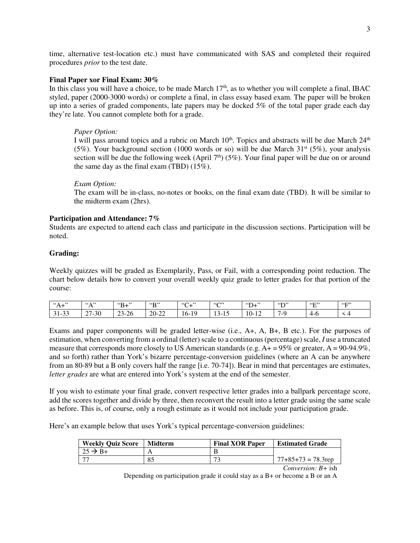time, alternative test-location etc.) must have communicated with SAS and completed their required procedures *prior* to the test date.

#### **Final Paper xor Final Exam: 30%**

In this class you will have a choice, to be made March  $17<sup>th</sup>$ , as to whether you will complete a final, IBAC styled, paper (2000-3000 words) or complete a final, in class essay based exam. The paper will be broken up into a series of graded components, late papers may be docked 5% of the total paper grade each day they're late. You cannot complete both for a grade.

#### *Paper Option:*

I will pass around topics and a rubric on March  $10<sup>th</sup>$ . Topics and abstracts will be due March  $24<sup>th</sup>$ (5%). Your background section (1000 words or so) will be due March  $31<sup>st</sup>$  (5%), your analysis section will be due the following week (April  $7<sup>th</sup>$ ) (5%). Your final paper will be due on or around the same day as the final exam (TBD) (15%).

#### *Exam Option:*

The exam will be in-class, no-notes or books, on the final exam date (TBD). It will be similar to the midterm exam (2hrs).

#### **Participation and Attendance: 7%**

Students are expected to attend each class and participate in the discussion sections. Participation will be noted.

#### **Grading:**

Weekly quizzes will be graded as Exemplarily, Pass, or Fail, with a corresponding point reduction. The chart below details how to convert your overall weekly quiz grade to letter grades for that portion of the course:

| $\ddot{\phantom{a}}$<br>$A^*A^*$ | (4.1)<br>$\overline{1}$    | " $B+$ "                         | $\mathbf{B}$ " | $\epsilon$<br>$\cdot$ , $\cdot$ , $\cdot$<br>$\mathsf{c}\mathsf{t}$ | $\mathcal{L}$<br>◡                       | $\mathrm{H}^{\prime\prime}$                            | 55<br>╜                 | $\mathcal{C}(\mathbb{Z})$<br>∸ | $\cdots$ |
|----------------------------------|----------------------------|----------------------------------|----------------|---------------------------------------------------------------------|------------------------------------------|--------------------------------------------------------|-------------------------|--------------------------------|----------|
| 21.22<br>$31 - 33$               | 7-30<br>$\sim$<br>$\sim$ 1 | $23 - 26$<br>$\angle 3 - \angle$ | $20 - 22$      | 10<br>16-19                                                         | $\sim$<br>$\sim$<br>ו – ו<br>- 10<br>1 J | $\sim$<br>1 <sub>0</sub><br>$10 - 7$<br>$\overline{1}$ | $\sim$ $\sim$<br>$\sim$ | $4 - 0$                        |          |

Exams and paper components will be graded letter-wise (i.e., A+, A, B+, B etc.). For the purposes of estimation, when converting from a ordinal (letter) scale to a continuous (percentage) scale, *I* use a truncated measure that corresponds more closely to US American standards (e.g.  $A + = 95\%$  or greater,  $A = 90-94.9\%$ , and so forth) rather than York's bizarre percentage-conversion guidelines (where an A can be anywhere from an 80-89 but a B only covers half the range [i.e. 70-74]). Bear in mind that percentages are estimates, *letter grades* are what are entered into York's system at the end of the semester.

If you wish to estimate your final grade, convert respective letter grades into a ballpark percentage score, add the scores together and divide by three, then reconvert the result into a letter grade using the same scale as before. This is, of course, only a rough estimate as it would not include your participation grade.

Here's an example below that uses York's typical percentage-conversion guidelines:

| <b>Weekly Quiz Score</b> | Midterm | <b>Final XOR Paper</b> | <b>Estimated Grade</b> |
|--------------------------|---------|------------------------|------------------------|
| $125 \rightarrow B+$     |         |                        |                        |
|                          | 85      |                        | $77+85+73 = 78.3$ rep  |

*Conversion: B+* ish

Depending on participation grade it could stay as a B+ or become a B or an A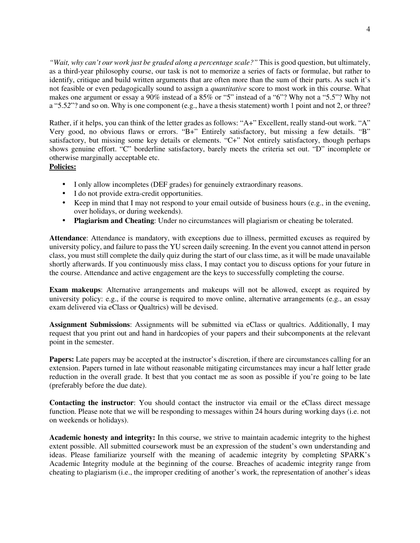*"Wait, why can't our work just be graded along a percentage scale?"* This is good question, but ultimately, as a third-year philosophy course, our task is not to memorize a series of facts or formulae, but rather to identify, critique and build written arguments that are often more than the sum of their parts. As such it's not feasible or even pedagogically sound to assign a *quantitative* score to most work in this course. What makes one argument or essay a 90% instead of a 85% or "5" instead of a "6"? Why not a "5.5"? Why not a "5.5*2*"? and so on. Why is one component (e.g., have a thesis statement) worth 1 point and not 2, or three?

Rather, if it helps, you can think of the letter grades as follows: "A+" Excellent, really stand-out work. "A" Very good, no obvious flaws or errors. "B+" Entirely satisfactory, but missing a few details. "B" satisfactory, but missing some key details or elements. "C+" Not entirely satisfactory, though perhaps shows genuine effort. "C" borderline satisfactory, barely meets the criteria set out. "D" incomplete or otherwise marginally acceptable etc.

# **Policies:**

- I only allow incompletes (DEF grades) for genuinely extraordinary reasons.
- I do not provide extra-credit opportunities.
- Keep in mind that I may not respond to your email outside of business hours (e.g., in the evening, over holidays, or during weekends).
- **Plagiarism and Cheating**: Under no circumstances will plagiarism or cheating be tolerated.

**Attendance**: Attendance is mandatory, with exceptions due to illness, permitted excuses as required by university policy, and failure to pass the YU screen daily screening. In the event you cannot attend in person class, you must still complete the daily quiz during the start of our class time, as it will be made unavailable shortly afterwards. If you continuously miss class, I may contact you to discuss options for your future in the course. Attendance and active engagement are the keys to successfully completing the course.

**Exam makeups**: Alternative arrangements and makeups will not be allowed, except as required by university policy: e.g., if the course is required to move online, alternative arrangements (e.g., an essay exam delivered via eClass or Qualtrics) will be devised.

**Assignment Submissions**: Assignments will be submitted via eClass or qualtrics. Additionally, I may request that you print out and hand in hardcopies of your papers and their subcomponents at the relevant point in the semester.

**Papers:** Late papers may be accepted at the instructor's discretion, if there are circumstances calling for an extension. Papers turned in late without reasonable mitigating circumstances may incur a half letter grade reduction in the overall grade. It best that you contact me as soon as possible if you're going to be late (preferably before the due date).

**Contacting the instructor**: You should contact the instructor via email or the eClass direct message function. Please note that we will be responding to messages within 24 hours during working days (i.e. not on weekends or holidays).

**Academic honesty and integrity:** In this course, we strive to maintain academic integrity to the highest extent possible. All submitted coursework must be an expression of the student's own understanding and ideas. Please familiarize yourself with the meaning of academic integrity by completing SPARK's Academic Integrity module at the beginning of the course. Breaches of academic integrity range from cheating to plagiarism (i.e., the improper crediting of another's work, the representation of another's ideas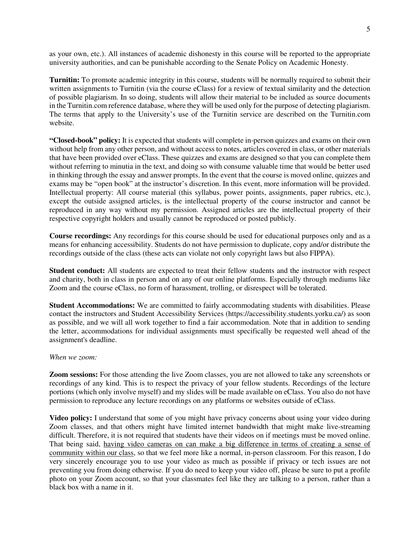as your own, etc.). All instances of academic dishonesty in this course will be reported to the appropriate university authorities, and can be punishable according to the Senate Policy on Academic Honesty.

**Turnitin:** To promote academic integrity in this course, students will be normally required to submit their written assignments to Turnitin (via the course eClass) for a review of textual similarity and the detection of possible plagiarism. In so doing, students will allow their material to be included as source documents in the Turnitin.com reference database, where they will be used only for the purpose of detecting plagiarism. The terms that apply to the University's use of the Turnitin service are described on the Turnitin.com website.

**"Closed-book" policy:** It is expected that students will complete in-person quizzes and exams on their own without help from any other person, and without access to notes, articles covered in class, or other materials that have been provided over eClass. These quizzes and exams are designed so that you can complete them without referring to minutia in the text, and doing so with consume valuable time that would be better used in thinking through the essay and answer prompts. In the event that the course is moved online, quizzes and exams may be "open book" at the instructor's discretion. In this event, more information will be provided. Intellectual property: All course material (this syllabus, power points, assignments, paper rubrics, etc.), except the outside assigned articles, is the intellectual property of the course instructor and cannot be reproduced in any way without my permission. Assigned articles are the intellectual property of their respective copyright holders and usually cannot be reproduced or posted publicly.

**Course recordings:** Any recordings for this course should be used for educational purposes only and as a means for enhancing accessibility. Students do not have permission to duplicate, copy and/or distribute the recordings outside of the class (these acts can violate not only copyright laws but also FIPPA).

**Student conduct:** All students are expected to treat their fellow students and the instructor with respect and charity, both in class in person and on any of our online platforms. Especially through mediums like Zoom and the course eClass, no form of harassment, trolling, or disrespect will be tolerated.

**Student Accommodations:** We are committed to fairly accommodating students with disabilities. Please contact the instructors and Student Accessibility Services (https://accessibility.students.yorku.ca/) as soon as possible, and we will all work together to find a fair accommodation. Note that in addition to sending the letter, accommodations for individual assignments must specifically be requested well ahead of the assignment's deadline.

#### *When we zoom:*

**Zoom sessions:** For those attending the live Zoom classes, you are not allowed to take any screenshots or recordings of any kind. This is to respect the privacy of your fellow students. Recordings of the lecture portions (which only involve myself) and my slides will be made available on eClass. You also do not have permission to reproduce any lecture recordings on any platforms or websites outside of eClass.

**Video policy:** I understand that some of you might have privacy concerns about using your video during Zoom classes, and that others might have limited internet bandwidth that might make live-streaming difficult. Therefore, it is not required that students have their videos on if meetings must be moved online. That being said, having video cameras on can make a big difference in terms of creating a sense of community within our class, so that we feel more like a normal, in-person classroom. For this reason, I do very sincerely encourage you to use your video as much as possible if privacy or tech issues are not preventing you from doing otherwise. If you do need to keep your video off, please be sure to put a profile photo on your Zoom account, so that your classmates feel like they are talking to a person, rather than a black box with a name in it.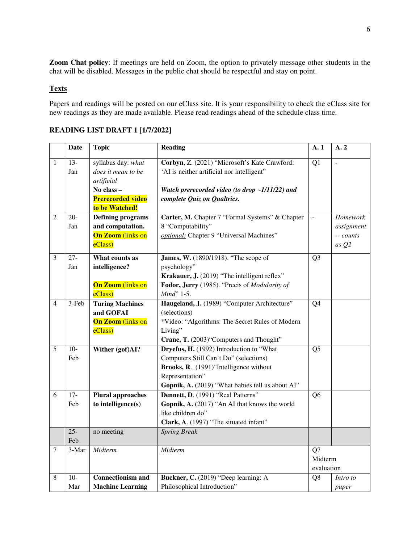**Zoom Chat policy**: If meetings are held on Zoom, the option to privately message other students in the chat will be disabled. Messages in the public chat should be respectful and stay on point.

# **Texts**

Papers and readings will be posted on our eClass site. It is your responsibility to check the eClass site for new readings as they are made available. Please read readings ahead of the schedule class time.

|                | <b>Date</b> | <b>Topic</b>             | <b>Reading</b>                                       | A. 1                     | A. 2           |
|----------------|-------------|--------------------------|------------------------------------------------------|--------------------------|----------------|
| $\mathbf{1}$   | $13 -$      | syllabus day: what       | Corbyn, Z. (2021) "Microsoft's Kate Crawford:        | Q1                       | $\overline{a}$ |
|                | Jan         | does it mean to be       | 'AI is neither artificial nor intelligent"           |                          |                |
|                |             | artificial               |                                                      |                          |                |
|                |             | No class -               | Watch prerecorded video (to drop $\sim$ 1/11/22) and |                          |                |
|                |             | <b>Prerecorded video</b> | complete Quiz on Qualtrics.                          |                          |                |
|                |             | to be Watched!           |                                                      |                          |                |
| 2              | $20 -$      | <b>Defining programs</b> | Carter, M. Chapter 7 "Formal Systems" & Chapter      | $\overline{\phantom{a}}$ | Homework       |
|                | Jan         | and computation.         | 8 "Computability"                                    |                          | assignment     |
|                |             | <b>On Zoom</b> (links on | optional: Chapter 9 "Universal Machines"             |                          | -- counts      |
|                |             | eClass)                  |                                                      |                          | as $Q2$        |
| 3              | $27 -$      | What counts as           | <b>James, W.</b> (1890/1918). "The scope of          | Q <sub>3</sub>           |                |
|                | Jan         | intelligence?            | psychology"                                          |                          |                |
|                |             |                          | Krakauer, J. (2019) "The intelligent reflex"         |                          |                |
|                |             | <b>On Zoom</b> (links on | Fodor, Jerry (1985). "Precis of Modularity of        |                          |                |
|                |             | eClass)                  | Mind" 1-5.                                           |                          |                |
| $\overline{4}$ | $3-Feb$     | <b>Turing Machines</b>   | Haugeland, J. (1989) "Computer Architecture"         | Q <sub>4</sub>           |                |
|                |             | and GOFAI                | (selections)                                         |                          |                |
|                |             | <b>On Zoom</b> (links on | *Video: "Algorithms: The Secret Rules of Modern      |                          |                |
|                |             | eClass)                  | Living"                                              |                          |                |
|                |             |                          | Crane, T. (2003) "Computers and Thought"             |                          |                |
| 5              | $10-$       | Wither (gof)AI?          | Dryefus, H. (1992) Introduction to "What             | Q <sub>5</sub>           |                |
|                | Feb         |                          | Computers Still Can't Do" (selections)               |                          |                |
|                |             |                          | Brooks, R. (1991) 'Intelligence without              |                          |                |
|                |             |                          | Representation"                                      |                          |                |
|                |             |                          | Gopnik, A. (2019) "What babies tell us about AI"     |                          |                |
| 6              | $17-$       | <b>Plural approaches</b> | Dennett, D. (1991) "Real Patterns"                   | Q <sub>6</sub>           |                |
|                | Feb         | to intelligence(s)       | Gopnik, A. (2017) "An AI that knows the world        |                          |                |
|                |             |                          | like children do"                                    |                          |                |
|                |             |                          | Clark, A. (1997) "The situated infant"               |                          |                |
|                | $25 -$      | no meeting               | <b>Spring Break</b>                                  |                          |                |
|                | Feb         |                          |                                                      |                          |                |
| 7              | 3-Mar       | Midterm                  | Midterm                                              | Q7                       |                |
|                |             |                          |                                                      | Midterm<br>evaluation    |                |
|                |             |                          |                                                      |                          |                |
| $\,8\,$        | $10-$       | <b>Connectionism and</b> | Buckner, C. (2019) "Deep learning: A                 | Q8                       | Intro to       |
|                | Mar         | <b>Machine Learning</b>  | Philosophical Introduction"                          |                          | paper          |

**READING LIST DRAFT 1 [1/7/2022]**